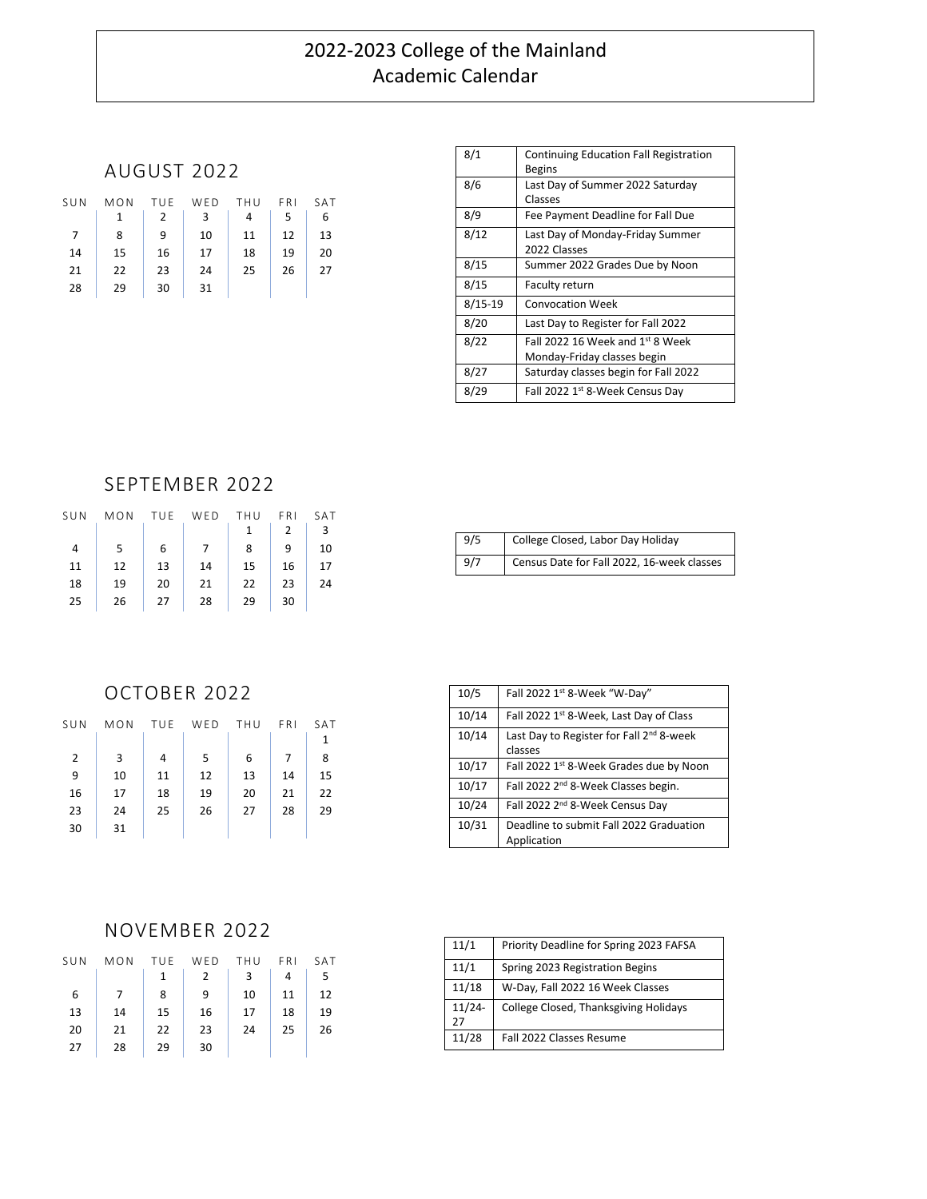# 2022-2023 College of the Mainland Academic Calendar

#### AUGUST 2022

| SUN | MON | TUE | WED | THU | FRI | SAT |
|-----|-----|-----|-----|-----|-----|-----|
|     | 1   | 2   | 3   | 4   | 5   | 6   |
| 7   | 8   | 9   | 10  | 11  | 12  | 13  |
| 14  | 15  | 16  | 17  | 18  | 19  | 20  |
| 21  | 22  | 23  | 24  | 25  | 26  | 27  |
| 28  | 29  | 30  | 31  |     |     |     |

| 8/1       | <b>Continuing Education Fall Registration</b><br><b>Begins</b>  |
|-----------|-----------------------------------------------------------------|
| 8/6       | Last Day of Summer 2022 Saturday<br>Classes                     |
| 8/9       | Fee Payment Deadline for Fall Due                               |
| 8/12      | Last Day of Monday-Friday Summer<br>2022 Classes                |
| 8/15      | Summer 2022 Grades Due by Noon                                  |
| 8/15      | Faculty return                                                  |
| $8/15-19$ | <b>Convocation Week</b>                                         |
| 8/20      | Last Day to Register for Fall 2022                              |
| 8/22      | Fall 2022 16 Week and 1st 8 Week<br>Monday-Friday classes begin |
| 8/27      | Saturday classes begin for Fall 2022                            |
| 8/29      | Fall 2022 1st 8-Week Census Day                                 |

## SEPTEMBER 2022

| SUN | MON | TUE | WED | THU | FRI | SAT |
|-----|-----|-----|-----|-----|-----|-----|
|     |     |     |     | 1   | 2   | 3   |
| 4   | 5   | 6   |     | 8   | 9   | 10  |
| 11  | 12  | 13  | 14  | 15  | 16  | 17  |
| 18  | 19  | 20  | 21  | 22  | 23  | 24  |
| 25  | 26  | 27  | 28  | 29  | 30  |     |
|     |     |     |     |     |     |     |

| 9/5 | College Closed, Labor Day Holiday          |
|-----|--------------------------------------------|
| 9/7 | Census Date for Fall 2022, 16-week classes |

# OCTOBER 2022

| SUN            | MON | TUE | WED | THU | FRI | SAT |
|----------------|-----|-----|-----|-----|-----|-----|
|                |     |     |     |     |     |     |
| $\overline{2}$ | 3   | 4   | 5   | 6   | 7   | 8   |
| 9              | 10  | 11  | 12  | 13  | 14  | 15  |
| 16             | 17  | 18  | 19  | 20  | 21  | 22  |
| 23             | 24  | 25  | 26  | 27  | 28  | 29  |
| 30             | 31  |     |     |     |     |     |

| 10/5  | Fall 2022 1st 8-Week "W-Day"                                    |
|-------|-----------------------------------------------------------------|
| 10/14 | Fall 2022 1st 8-Week, Last Day of Class                         |
| 10/14 | Last Day to Register for Fall 2 <sup>nd</sup> 8-week<br>classes |
| 10/17 | Fall 2022 1st 8-Week Grades due by Noon                         |
| 10/17 | Fall 2022 2 <sup>nd</sup> 8-Week Classes begin.                 |
| 10/24 | Fall 2022 2 <sup>nd</sup> 8-Week Census Day                     |
| 10/31 | Deadline to submit Fall 2022 Graduation<br>Application          |

#### NOVEMBER 2022

| SUN | MON | TUE | WED | THU | FRI. | SAT |
|-----|-----|-----|-----|-----|------|-----|
|     |     | 1   | 2   | 3   | 4    | 5   |
| 6   |     | 8   | 9   | 10  | 11   | 12  |
| 13  | 14  | 15  | 16  | 17  | 18   | 19  |
| 20  | 21  | 22  | 23  | 24  | 25   | 26  |
| 27  | 28  | 29  | 30  |     |      |     |

| 11/1            | Priority Deadline for Spring 2023 FAFSA |
|-----------------|-----------------------------------------|
| 11/1            | Spring 2023 Registration Begins         |
| 11/18           | W-Day, Fall 2022 16 Week Classes        |
| $11/24 -$<br>27 | College Closed, Thanksgiving Holidays   |
| 11/28           | Fall 2022 Classes Resume                |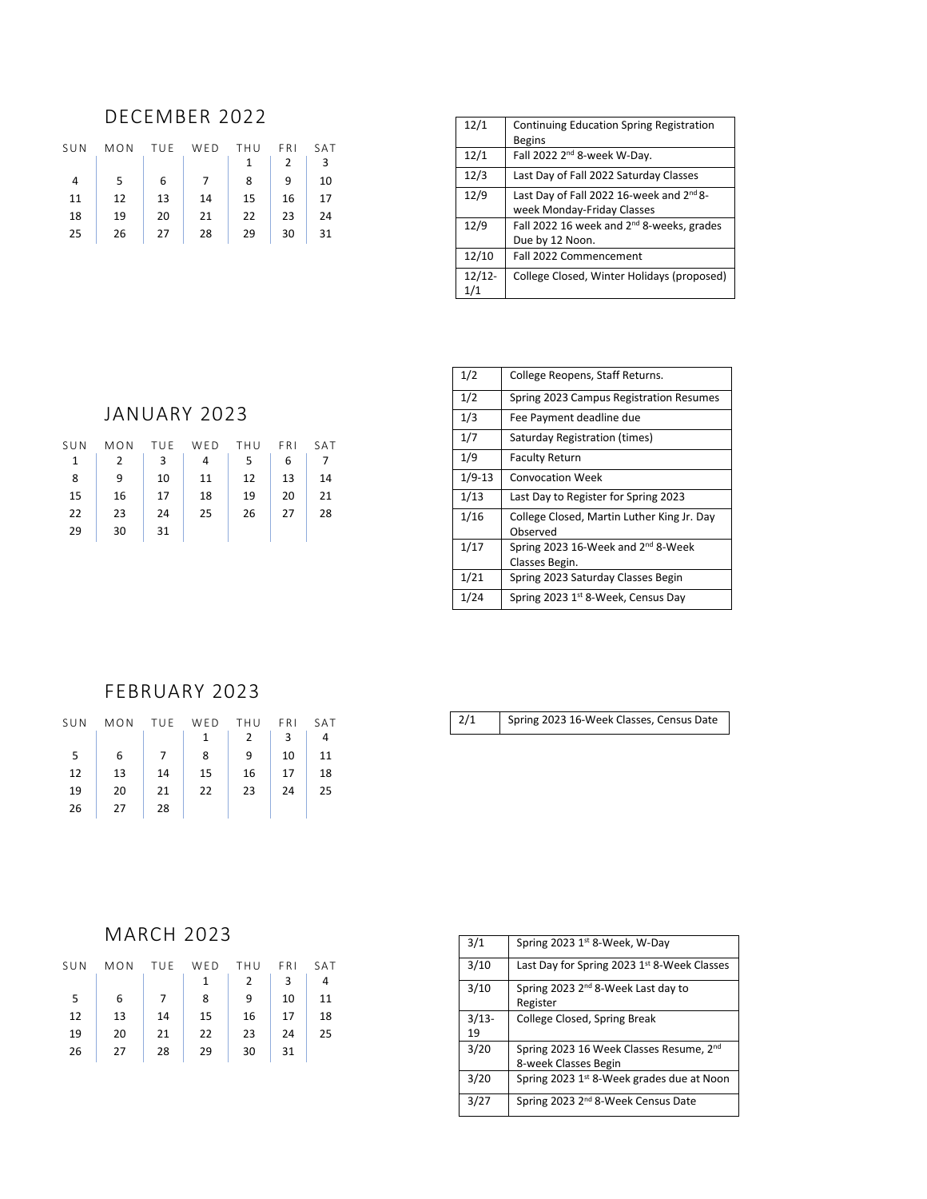## DECEMBER 2022

| SUN            | MON | TUE | WED | THU | FRI | SAT |
|----------------|-----|-----|-----|-----|-----|-----|
|                |     |     |     |     | 2   | 3   |
| $\overline{4}$ | 5   | 6   | 7   | 8   | ٩   | 10  |
| 11             | 12  | 13  | 14  | 15  | 16  | 17  |
| 18             | 19  | 20  | 21  | 22  | 23  | 24  |
| 25             | 26  | 27  | 28  | 29  | 30  | 31  |

| 12/1     | Continuing Education Spring Registration              |
|----------|-------------------------------------------------------|
|          | <b>Begins</b>                                         |
| 12/1     | Fall 2022 2 <sup>nd</sup> 8-week W-Day.               |
| 12/3     | Last Day of Fall 2022 Saturday Classes                |
| 12/9     | Last Day of Fall 2022 16-week and 2 <sup>nd</sup> 8-  |
|          | week Monday-Friday Classes                            |
| 12/9     | Fall 2022 16 week and 2 <sup>nd</sup> 8-weeks, grades |
|          | Due by 12 Noon.                                       |
| 12/10    | Fall 2022 Commencement                                |
| $12/12-$ | College Closed, Winter Holidays (proposed)            |
| 1/1      |                                                       |

## JANUARY 2023

| SUN          | MON | TUE | WED | THU | FRI | SAT |
|--------------|-----|-----|-----|-----|-----|-----|
| $\mathbf{1}$ | 2   | 3   | 4   | 5   | 6   |     |
| 8            | 9   | 10  | 11  | 12  | 13  | 14  |
| 15           | 16  | 17  | 18  | 19  | 20  | 21  |
| 22           | 23  | 24  | 25  | 26  | 27  | 28  |
| 29           | 30  | 31  |     |     |     |     |

| 1/2        | College Reopens, Staff Returns.                                  |
|------------|------------------------------------------------------------------|
| 1/2        | Spring 2023 Campus Registration Resumes                          |
| 1/3        | Fee Payment deadline due                                         |
| 1/7        | Saturday Registration (times)                                    |
| 1/9        | <b>Faculty Return</b>                                            |
| $1/9 - 13$ | <b>Convocation Week</b>                                          |
| 1/13       | Last Day to Register for Spring 2023                             |
| 1/16       | College Closed, Martin Luther King Jr. Day<br>Observed           |
| 1/17       | Spring 2023 16-Week and 2 <sup>nd</sup> 8-Week<br>Classes Begin. |
| 1/21       | Spring 2023 Saturday Classes Begin                               |
| 1/24       | Spring 2023 1st 8-Week, Census Day                               |

#### FEBRUARY 2023

| SUN | MON | TUE | WED | THU           | FRI. | SAT |
|-----|-----|-----|-----|---------------|------|-----|
|     |     |     |     | $\mathcal{P}$ | 3    | 4   |
| 5   | 6   |     | 8   | ٩             | 10   | 11  |
| 12  | 13  | 14  | 15  | 16            | 17   | 18  |
| 19  | 20  | 21  | 22  | 23            | 24   | 25  |
| 26  | 27  | 28  |     |               |      |     |

2/1 Spring 2023 16-Week Classes, Census Date

# MARCH 2023

| SUN | MON | TUE | WED | THU           | FRI | SAT |
|-----|-----|-----|-----|---------------|-----|-----|
|     |     |     |     | $\mathcal{P}$ | 3   | 4   |
| 5   | 6   |     | 8   | 9             | 10  | 11  |
| 12  | 13  | 14  | 15  | 16            | 17  | 18  |
| 19  | 20  | 21  | 22  | 23            | 24  | 25  |
| 26  | 27  | 28  | 29  | 30            | 31  |     |
|     |     |     |     |               |     |     |

| 3/1     | Spring 2023 1st 8-Week, W-Day                                   |
|---------|-----------------------------------------------------------------|
| 3/10    | Last Day for Spring 2023 1st 8-Week Classes                     |
| 3/10    | Spring 2023 2 <sup>nd</sup> 8-Week Last day to<br>Register      |
| $3/13-$ | College Closed, Spring Break                                    |
| 19      |                                                                 |
| 3/20    | Spring 2023 16 Week Classes Resume, 2nd<br>8-week Classes Begin |
| 3/20    | Spring 2023 1st 8-Week grades due at Noon                       |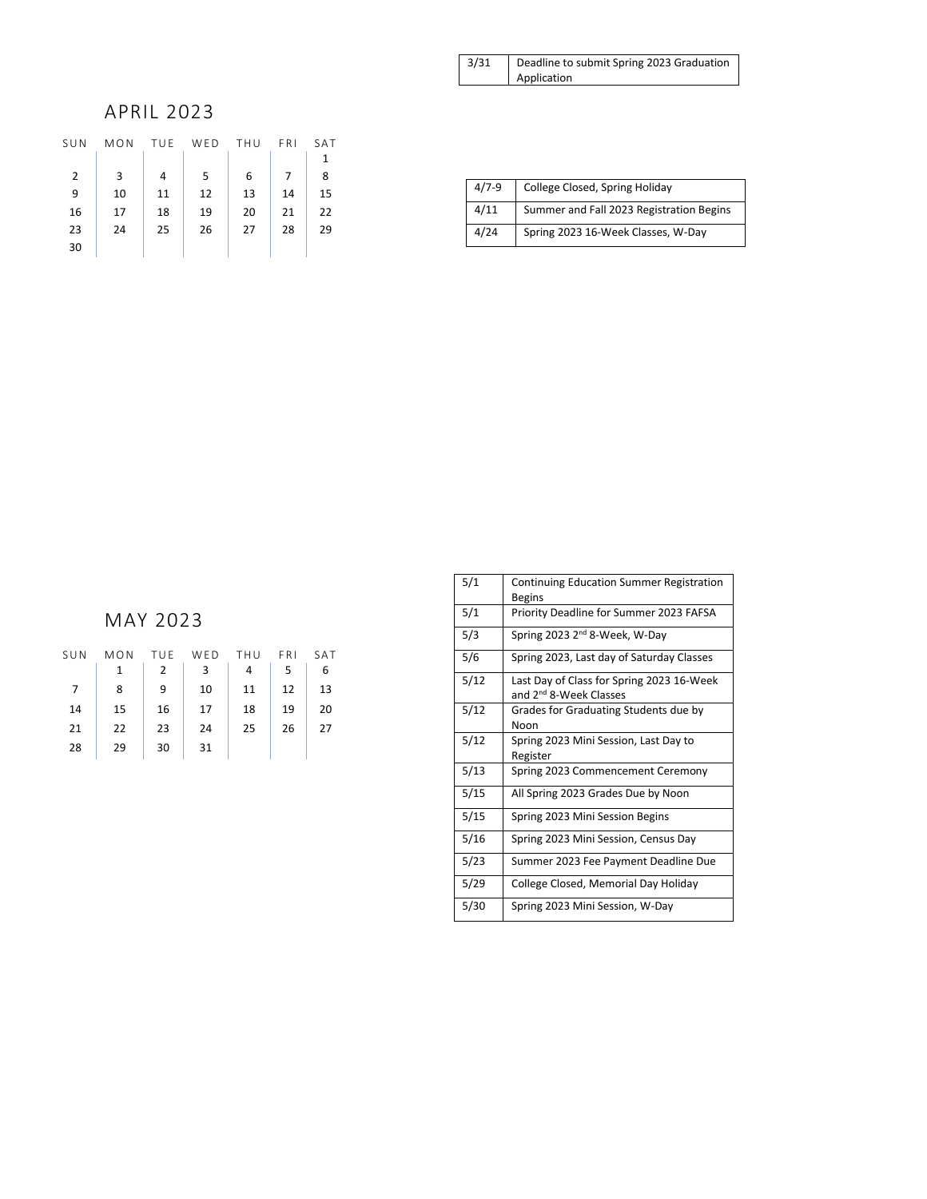| 3/31 | Deadline to submit Spring 2023 Graduation |
|------|-------------------------------------------|
|      | Application                               |

## APRIL 2023

| SUN            | MON | TUF | WED | THU | FRI | SAT |
|----------------|-----|-----|-----|-----|-----|-----|
|                |     |     |     |     |     | 1   |
| $\overline{2}$ | 3   | 4   | 5   | 6   | 7   | 8   |
| 9              | 10  | 11  | 12  | 13  | 14  | 15  |
| 16             | 17  | 18  | 19  | 20  | 21  | 22  |
| 23             | 24  | 25  | 26  | 27  | 28  | 29  |
| 30             |     |     |     |     |     |     |
|                |     |     |     |     |     |     |

| $4/7-9$ | College Closed, Spring Holiday           |
|---------|------------------------------------------|
| 4/11    | Summer and Fall 2023 Registration Begins |
| 4/24    | Spring 2023 16-Week Classes, W-Day       |

# MAY 2023

| SUN | MON | TUE | WED | THU | FRI | SAT |
|-----|-----|-----|-----|-----|-----|-----|
|     | 1   | 2   | 3   | 4   | 5   | 6   |
| 7   | 8   | 9   | 10  | 11  | 12  | 13  |
| 14  | 15  | 16  | 17  | 18  | 19  | 20  |
| 21  | 22  | 23  | 24  | 25  | 26  | 27  |
| 28  | 29  | 30  | 31  |     |     |     |
|     |     |     |     |     |     |     |

| 5/1  | <b>Continuing Education Summer Registration</b><br><b>Begins</b>                |
|------|---------------------------------------------------------------------------------|
| 5/1  | Priority Deadline for Summer 2023 FAFSA                                         |
| 5/3  | Spring 2023 2 <sup>nd</sup> 8-Week, W-Day                                       |
| 5/6  | Spring 2023, Last day of Saturday Classes                                       |
| 5/12 | Last Day of Class for Spring 2023 16-Week<br>and 2 <sup>nd</sup> 8-Week Classes |
| 5/12 | Grades for Graduating Students due by<br>Noon                                   |
| 5/12 | Spring 2023 Mini Session, Last Day to<br>Register                               |
| 5/13 | Spring 2023 Commencement Ceremony                                               |
| 5/15 | All Spring 2023 Grades Due by Noon                                              |
| 5/15 | Spring 2023 Mini Session Begins                                                 |
| 5/16 | Spring 2023 Mini Session, Census Day                                            |
| 5/23 | Summer 2023 Fee Payment Deadline Due                                            |
| 5/29 | College Closed, Memorial Day Holiday                                            |
| 5/30 | Spring 2023 Mini Session, W-Day                                                 |